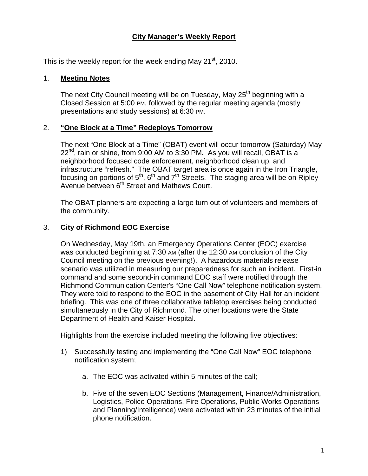# **City Manager's Weekly Report**

This is the weekly report for the week ending May  $21<sup>st</sup>$ , 2010.

#### 1. **Meeting Notes**

The next City Council meeting will be on Tuesday, May 25<sup>th</sup> beginning with a Closed Session at 5:00 PM, followed by the regular meeting agenda (mostly presentations and study sessions) at 6:30 PM.

#### 2. **"One Block at a Time" Redeploys Tomorrow**

The next "One Block at a Time" (OBAT) event will occur tomorrow (Saturday) May 22nd, rain or shine, from 9:00 AM to 3:30 PM**.** As you will recall, OBAT is a neighborhood focused code enforcement, neighborhood clean up, and infrastructure "refresh." The OBAT target area is once again in the Iron Triangle, focusing on portions of  $5<sup>th</sup>$ ,  $6<sup>th</sup>$  and  $7<sup>th</sup>$  Streets. The staging area will be on Ripley Avenue between 6<sup>th</sup> Street and Mathews Court.

The OBAT planners are expecting a large turn out of volunteers and members of the community.

# 3. **City of Richmond EOC Exercise**

On Wednesday, May 19th, an Emergency Operations Center (EOC) exercise was conducted beginning at 7:30 AM (after the 12:30 AM conclusion of the City Council meeting on the previous evening!). A hazardous materials release scenario was utilized in measuring our preparedness for such an incident. First-in command and some second-in command EOC staff were notified through the Richmond Communication Center's "One Call Now" telephone notification system. They were told to respond to the EOC in the basement of City Hall for an incident briefing. This was one of three collaborative tabletop exercises being conducted simultaneously in the City of Richmond. The other locations were the State Department of Health and Kaiser Hospital.

Highlights from the exercise included meeting the following five objectives:

- 1) Successfully testing and implementing the "One Call Now" EOC telephone notification system;
	- a. The EOC was activated within 5 minutes of the call;
	- b. Five of the seven EOC Sections (Management, Finance/Administration, Logistics, Police Operations, Fire Operations, Public Works Operations and Planning/Intelligence) were activated within 23 minutes of the initial phone notification.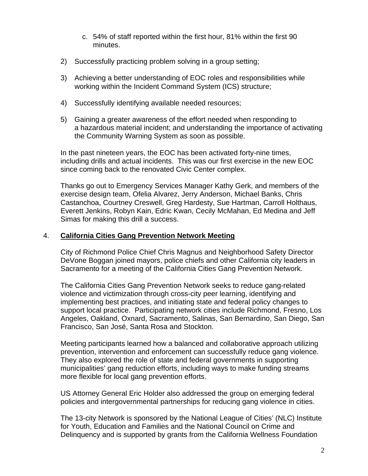- c. 54% of staff reported within the first hour, 81% within the first 90 minutes.
- 2) Successfully practicing problem solving in a group setting;
- 3) Achieving a better understanding of EOC roles and responsibilities while working within the Incident Command System (ICS) structure;
- 4) Successfully identifying available needed resources;
- 5) Gaining a greater awareness of the effort needed when responding to a hazardous material incident; and understanding the importance of activating the Community Warning System as soon as possible.

In the past nineteen years, the EOC has been activated forty-nine times, including drills and actual incidents. This was our first exercise in the new EOC since coming back to the renovated Civic Center complex.

Thanks go out to Emergency Services Manager Kathy Gerk, and members of the exercise design team, Ofelia Alvarez, Jerry Anderson, Michael Banks, Chris Castanchoa, Courtney Creswell, Greg Hardesty, Sue Hartman, Carroll Holthaus, Everett Jenkins, Robyn Kain, Edric Kwan, Cecily McMahan, Ed Medina and Jeff Simas for making this drill a success.

# 4. **California Cities Gang Prevention Network Meeting**

City of Richmond Police Chief Chris Magnus and Neighborhood Safety Director DeVone Boggan joined mayors, police chiefs and other California city leaders in Sacramento for a meeting of the California Cities Gang Prevention Network.

The California Cities Gang Prevention Network seeks to reduce gang-related violence and victimization through cross-city peer learning, identifying and implementing best practices, and initiating state and federal policy changes to support local practice. Participating network cities include Richmond, Fresno, Los Angeles, Oakland, Oxnard, Sacramento, Salinas, San Bernardino, San Diego, San Francisco, San José, Santa Rosa and Stockton.

Meeting participants learned how a balanced and collaborative approach utilizing prevention, intervention and enforcement can successfully reduce gang violence. They also explored the role of state and federal governments in supporting municipalities' gang reduction efforts, including ways to make funding streams more flexible for local gang prevention efforts.

US Attorney General Eric Holder also addressed the group on emerging federal policies and intergovernmental partnerships for reducing gang violence in cities.

The 13-city Network is sponsored by the National League of Cities' (NLC) Institute for Youth, Education and Families and the National Council on Crime and Delinquency and is supported by grants from the California Wellness Foundation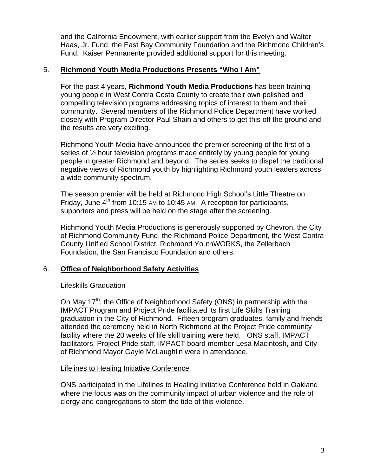and the California Endowment, with earlier support from the Evelyn and Walter Haas, Jr. Fund, the East Bay Community Foundation and the Richmond Children's Fund. Kaiser Permanente provided additional support for this meeting.

#### 5. **Richmond Youth Media Productions Presents "Who I Am"**

For the past 4 years, **Richmond Youth Media Productions** has been training young people in West Contra Costa County to create their own polished and compelling television programs addressing topics of interest to them and their community. Several members of the Richmond Police Department have worked closely with Program Director Paul Shain and others to get this off the ground and the results are very exciting.

Richmond Youth Media have announced the premier screening of the first of a series of ½ hour television programs made entirely by young people for young people in greater Richmond and beyond. The series seeks to dispel the traditional negative views of Richmond youth by highlighting Richmond youth leaders across a wide community spectrum.

The season premier will be held at Richmond High School's Little Theatre on Friday, June  $4<sup>th</sup>$  from 10:15 AM to 10:45 AM. A reception for participants, supporters and press will be held on the stage after the screening.

Richmond Youth Media Productions is generously supported by Chevron, the City of Richmond Community Fund, the Richmond Police Department, the West Contra County Unified School District, Richmond YouthWORKS, the Zellerbach Foundation, the San Francisco Foundation and others.

# 6. **Office of Neighborhood Safety Activities**

# Lifeskills Graduation

On May 17<sup>th</sup>, the Office of Neighborhood Safety (ONS) in partnership with the IMPACT Program and Project Pride facilitated its first Life Skills Training graduation in the City of Richmond. Fifteen program graduates, family and friends attended the ceremony held in North Richmond at the Project Pride community facility where the 20 weeks of life skill training were held. ONS staff, IMPACT facilitators, Project Pride staff, IMPACT board member Lesa Macintosh, and City of Richmond Mayor Gayle McLaughlin were in attendance.

#### Lifelines to Healing Initiative Conference

ONS participated in the Lifelines to Healing Initiative Conference held in Oakland where the focus was on the community impact of urban violence and the role of clergy and congregations to stem the tide of this violence.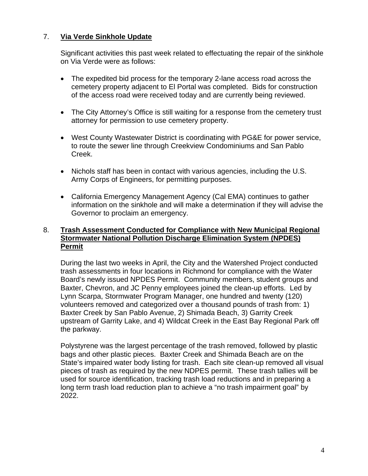# 7. **Via Verde Sinkhole Update**

Significant activities this past week related to effectuating the repair of the sinkhole on Via Verde were as follows:

- The expedited bid process for the temporary 2-lane access road across the cemetery property adjacent to El Portal was completed. Bids for construction of the access road were received today and are currently being reviewed.
- The City Attorney's Office is still waiting for a response from the cemetery trust attorney for permission to use cemetery property.
- West County Wastewater District is coordinating with PG&E for power service, to route the sewer line through Creekview Condominiums and San Pablo Creek.
- Nichols staff has been in contact with various agencies, including the U.S. Army Corps of Engineers, for permitting purposes.
- California Emergency Management Agency (Cal EMA) continues to gather information on the sinkhole and will make a determination if they will advise the Governor to proclaim an emergency.

## 8. **Trash Assessment Conducted for Compliance with New Municipal Regional Stormwater National Pollution Discharge Elimination System (NPDES) Permit**

During the last two weeks in April, the City and the Watershed Project conducted trash assessments in four locations in Richmond for compliance with the Water Board's newly issued NPDES Permit. Community members, student groups and Baxter, Chevron, and JC Penny employees joined the clean-up efforts. Led by Lynn Scarpa, Stormwater Program Manager, one hundred and twenty (120) volunteers removed and categorized over a thousand pounds of trash from: 1) Baxter Creek by San Pablo Avenue, 2) Shimada Beach, 3) Garrity Creek upstream of Garrity Lake, and 4) Wildcat Creek in the East Bay Regional Park off the parkway.

Polystyrene was the largest percentage of the trash removed, followed by plastic bags and other plastic pieces. Baxter Creek and Shimada Beach are on the State's impaired water body listing for trash. Each site clean-up removed all visual pieces of trash as required by the new NDPES permit. These trash tallies will be used for source identification, tracking trash load reductions and in preparing a long term trash load reduction plan to achieve a "no trash impairment goal" by 2022.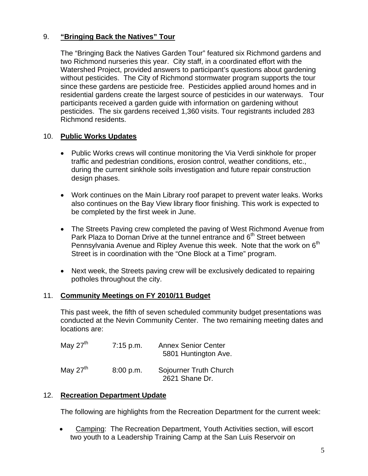# 9. **"Bringing Back the Natives" Tour**

The "Bringing Back the Natives Garden Tour" featured six Richmond gardens and two Richmond nurseries this year. City staff, in a coordinated effort with the Watershed Project, provided answers to participant's questions about gardening without pesticides. The City of Richmond stormwater program supports the tour since these gardens are pesticide free. Pesticides applied around homes and in residential gardens create the largest source of pesticides in our waterways. Tour participants received a garden guide with information on gardening without pesticides. The six gardens received 1,360 visits. Tour registrants included 283 Richmond residents.

# 10. **Public Works Updates**

- Public Works crews will continue monitoring the Via Verdi sinkhole for proper traffic and pedestrian conditions, erosion control, weather conditions, etc., during the current sinkhole soils investigation and future repair construction design phases.
- Work continues on the Main Library roof parapet to prevent water leaks. Works also continues on the Bay View library floor finishing. This work is expected to be completed by the first week in June.
- The Streets Paving crew completed the paving of West Richmond Avenue from Park Plaza to Dornan Drive at the tunnel entrance and 6<sup>th</sup> Street between Pennsylvania Avenue and Ripley Avenue this week. Note that the work on 6<sup>th</sup> Street is in coordination with the "One Block at a Time" program.
- Next week, the Streets paving crew will be exclusively dedicated to repairing potholes throughout the city.

# 11. **Community Meetings on FY 2010/11 Budget**

This past week, the fifth of seven scheduled community budget presentations was conducted at the Nevin Community Center. The two remaining meeting dates and locations are:

| May $27th$ | $7:15$ p.m. | <b>Annex Senior Center</b><br>5801 Huntington Ave. |
|------------|-------------|----------------------------------------------------|
| May $27th$ | 8:00 p.m.   | Sojourner Truth Church<br>2621 Shane Dr.           |

# 12. **Recreation Department Update**

The following are highlights from the Recreation Department for the current week:

 Camping: The Recreation Department, Youth Activities section, will escort two youth to a Leadership Training Camp at the San Luis Reservoir on